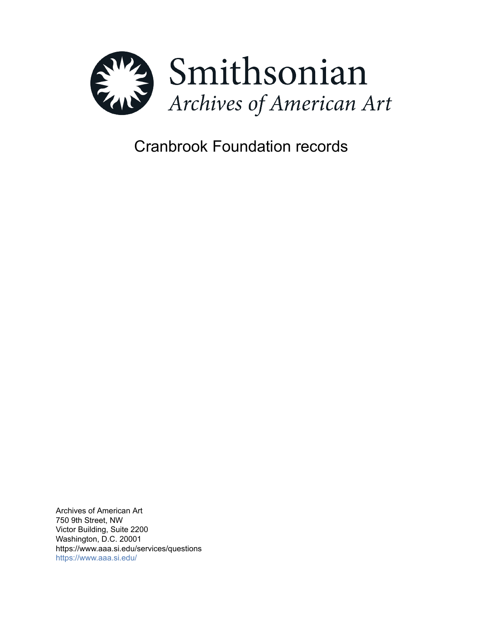

# Cranbrook Foundation records

Archives of American Art 750 9th Street, NW Victor Building, Suite 2200 Washington, D.C. 20001 https://www.aaa.si.edu/services/questions <https://www.aaa.si.edu/>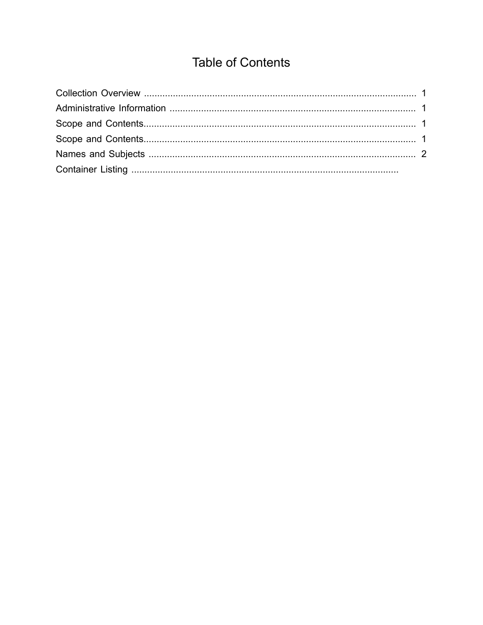## **Table of Contents**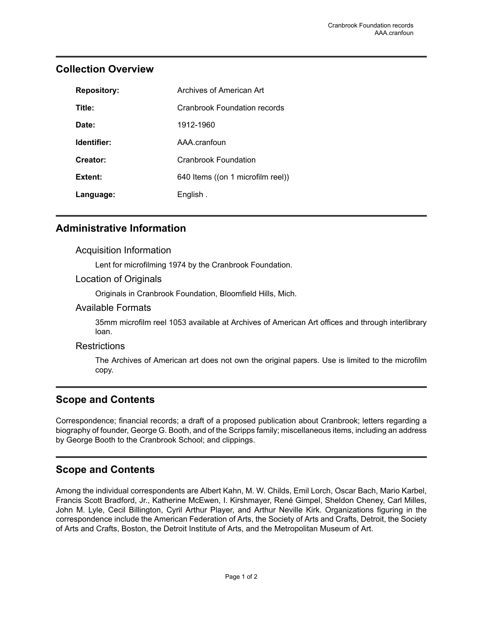| <b>Repository:</b> | Archives of American Art          |
|--------------------|-----------------------------------|
| Title:             | Cranbrook Foundation records      |
| Date:              | 1912-1960                         |
| Identifier:        | AAA cranfoun                      |
| Creator:           | Cranbrook Foundation              |
| Extent:            | 640 Items ((on 1 microfilm reel)) |
| Language:          | English.                          |

## <span id="page-2-0"></span>**Collection Overview**

## <span id="page-2-1"></span>**Administrative Information**

#### Acquisition Information

Lent for microfilming 1974 by the Cranbrook Foundation.

#### Location of Originals

Originals in Cranbrook Foundation, Bloomfield Hills, Mich.

#### Available Formats

35mm microfilm reel 1053 available at Archives of American Art offices and through interlibrary loan.

#### **Restrictions**

The Archives of American art does not own the original papers. Use is limited to the microfilm copy.

### <span id="page-2-2"></span>**Scope and Contents**

Correspondence; financial records; a draft of a proposed publication about Cranbrook; letters regarding a biography of founder, George G. Booth, and of the Scripps family; miscellaneous items, including an address by George Booth to the Cranbrook School; and clippings.

## <span id="page-2-3"></span>**Scope and Contents**

Among the individual correspondents are Albert Kahn, M. W. Childs, Emil Lorch, Oscar Bach, Mario Karbel, Francis Scott Bradford, Jr., Katherine McEwen, I. Kirshmayer, René Gimpel, Sheldon Cheney, Carl Milles, John M. Lyle, Cecil Billington, Cyril Arthur Player, and Arthur Neville Kirk. Organizations figuring in the correspondence include the American Federation of Arts, the Society of Arts and Crafts, Detroit, the Society of Arts and Crafts, Boston, the Detroit Institute of Arts, and the Metropolitan Museum of Art.